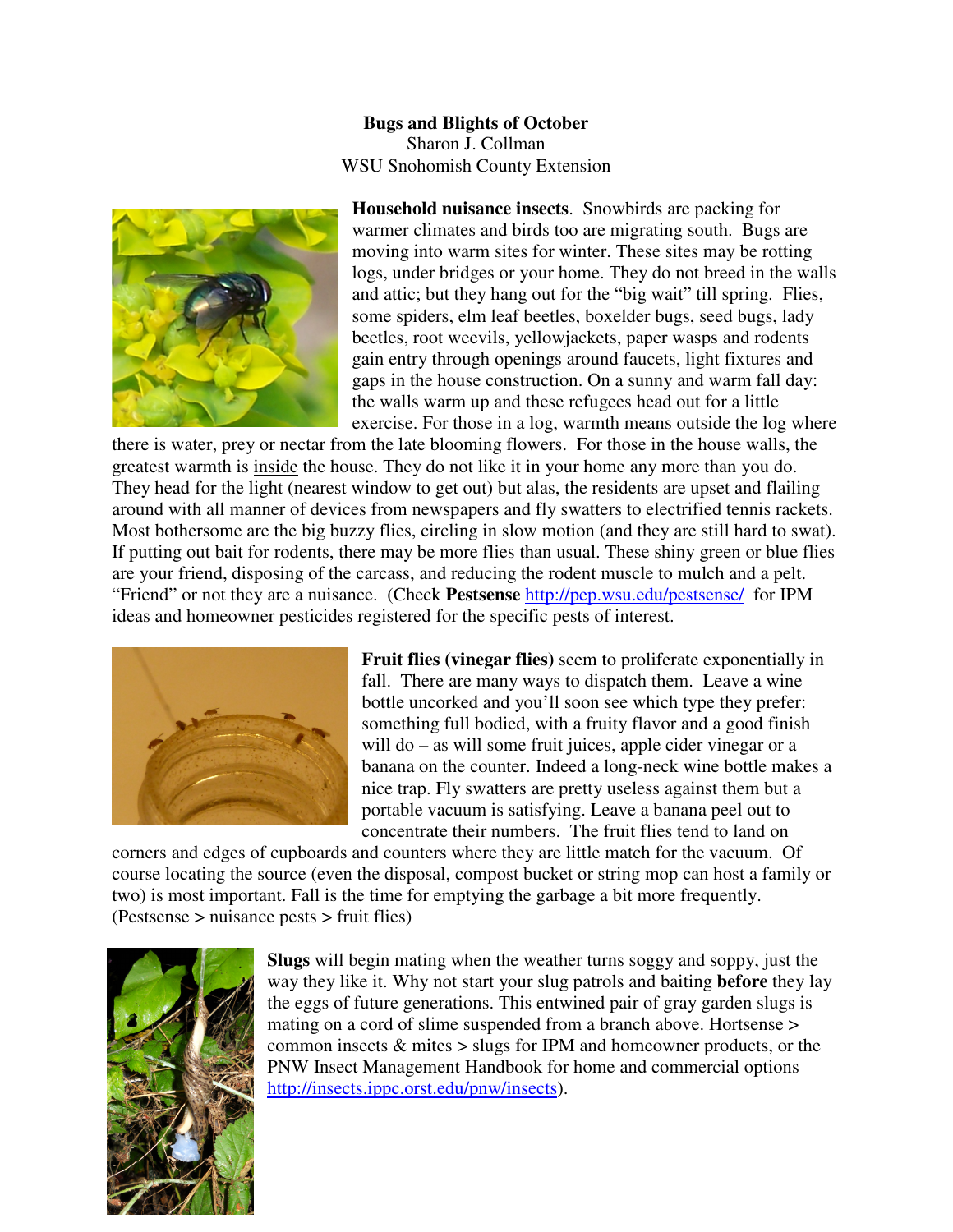## **Bugs and Blights of October**  Sharon J. Collman WSU Snohomish County Extension



**Household nuisance insects**. Snowbirds are packing for warmer climates and birds too are migrating south. Bugs are moving into warm sites for winter. These sites may be rotting logs, under bridges or your home. They do not breed in the walls and attic; but they hang out for the "big wait" till spring. Flies, some spiders, elm leaf beetles, boxelder bugs, seed bugs, lady beetles, root weevils, yellowjackets, paper wasps and rodents gain entry through openings around faucets, light fixtures and gaps in the house construction. On a sunny and warm fall day: the walls warm up and these refugees head out for a little exercise. For those in a log, warmth means outside the log where

there is water, prey or nectar from the late blooming flowers. For those in the house walls, the greatest warmth is inside the house. They do not like it in your home any more than you do. They head for the light (nearest window to get out) but alas, the residents are upset and flailing around with all manner of devices from newspapers and fly swatters to electrified tennis rackets. Most bothersome are the big buzzy flies, circling in slow motion (and they are still hard to swat). If putting out bait for rodents, there may be more flies than usual. These shiny green or blue flies are your friend, disposing of the carcass, and reducing the rodent muscle to mulch and a pelt. "Friend" or not they are a nuisance. (Check **Pestsense** http://pep.wsu.edu/pestsense/ for IPM ideas and homeowner pesticides registered for the specific pests of interest.



**Fruit flies (vinegar flies)** seem to proliferate exponentially in fall. There are many ways to dispatch them. Leave a wine bottle uncorked and you'll soon see which type they prefer: something full bodied, with a fruity flavor and a good finish will do – as will some fruit juices, apple cider vinegar or a banana on the counter. Indeed a long-neck wine bottle makes a nice trap. Fly swatters are pretty useless against them but a portable vacuum is satisfying. Leave a banana peel out to concentrate their numbers. The fruit flies tend to land on

corners and edges of cupboards and counters where they are little match for the vacuum. Of course locating the source (even the disposal, compost bucket or string mop can host a family or two) is most important. Fall is the time for emptying the garbage a bit more frequently. (Pestsense > nuisance pests > fruit flies)



**Slugs** will begin mating when the weather turns soggy and soppy, just the way they like it. Why not start your slug patrols and baiting **before** they lay the eggs of future generations. This entwined pair of gray garden slugs is mating on a cord of slime suspended from a branch above. Hortsense > common insects & mites > slugs for IPM and homeowner products, or the PNW Insect Management Handbook for home and commercial options http://insects.ippc.orst.edu/pnw/insects).